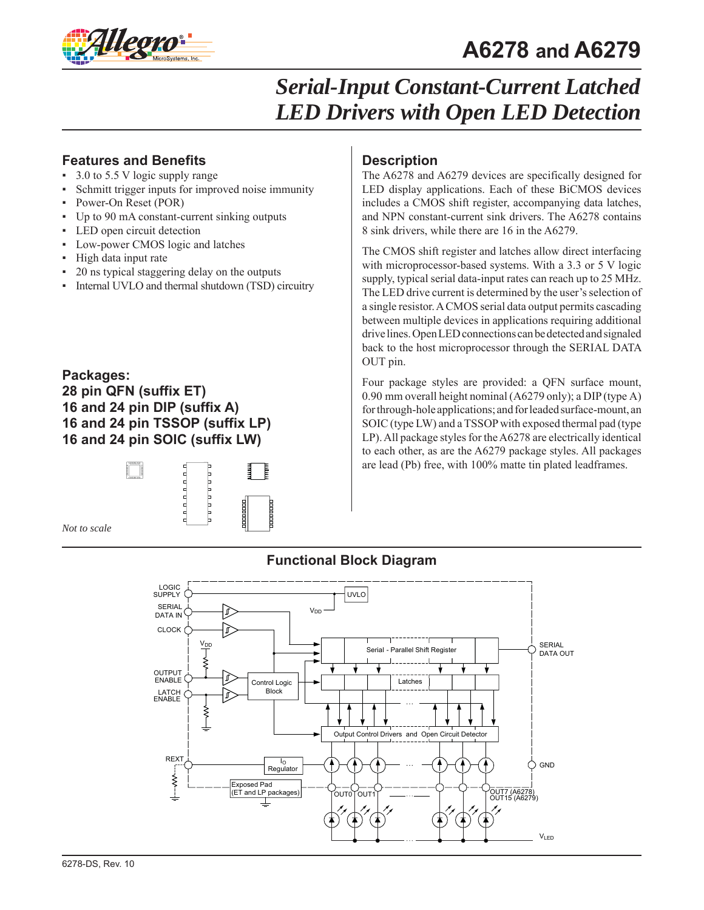

#### **Features and Benefits**

- 3.0 to 5.5 V logic supply range
- Schmitt trigger inputs for improved noise immunity
- Power-On Reset (POR)
- Up to 90 mA constant-current sinking outputs
- LED open circuit detection
- Low-power CMOS logic and latches
- High data input rate
- 20 ns typical staggering delay on the outputs
- Internal UVLO and thermal shutdown (TSD) circuitry

#### **Packages:**

**28 pin QFN (suffix ET) 16 and 24 pin DIP (suffix A) 16 and 24 pin TSSOP (suffix LP) 16 and 24 pin SOIC (suffix LW)**



*Not to scale*

#### **Description**

The A6278 and A6279 devices are specifically designed for LED display applications. Each of these BiCMOS devices includes a CMOS shift register, accompanying data latches, and NPN constant-current sink drivers. The A6278 contains 8 sink drivers, while there are 16 in the A6279.

The CMOS shift register and latches allow direct interfacing with microprocessor-based systems. With a 3.3 or 5 V logic supply, typical serial data-input rates can reach up to 25 MHz. The LED drive current is determined by the user's selection of a single resistor. A CMOS serial data output permits cascading between multiple devices in applications requiring additional drive lines. Open LED connections can be detected and signaled back to the host microprocessor through the SERIAL DATA OUT pin.

Four package styles are provided: a QFN surface mount, 0.90 mm overall height nominal (A6279 only); a DIP (type A) for through-hole applications; and for leaded surface-mount, an SOIC (type LW) and a TSSOP with exposed thermal pad (type LP). All package styles for the A6278 are electrically identical to each other, as are the A6279 package styles. All packages are lead (Pb) free, with 100% matte tin plated leadframes.



#### **Functional Block Diagram**

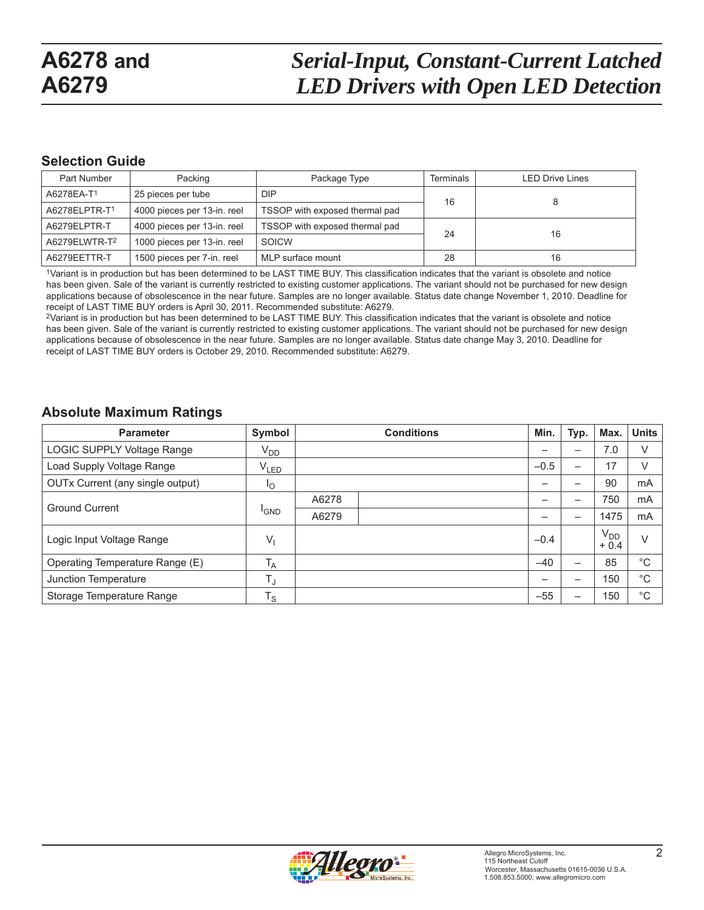#### **Selection Guide**

| Part Number                                                                   | Packing                     | Package Type                   | <b>Terminals</b> | <b>LED Drive Lines</b> |  |
|-------------------------------------------------------------------------------|-----------------------------|--------------------------------|------------------|------------------------|--|
| A6278EA-T <sup>1</sup>                                                        | 25 pieces per tube          | <b>DIP</b>                     | 16               |                        |  |
| A6278ELPTR-T <sup>1</sup>                                                     | 4000 pieces per 13-in. reel | TSSOP with exposed thermal pad |                  |                        |  |
| TSSOP with exposed thermal pad<br>4000 pieces per 13-in. reel<br>A6279ELPTR-T |                             | 24                             | 16               |                        |  |
| A6279ELWTR-T2                                                                 | 1000 pieces per 13-in. reel | SOICW                          |                  |                        |  |
| A6279EETTR-T                                                                  | 1500 pieces per 7-in. reel  | MLP surface mount              | 28               | 16                     |  |

1Variant is in production but has been determined to be LAST TIME BUY. This classification indicates that the variant is obsolete and notice has been given. Sale of the variant is currently restricted to existing customer applications. The variant should not be purchased for new design applications because of obsolescence in the near future. Samples are no longer available. Status date change November 1, 2010. Deadline for receipt of LAST TIME BUY orders is April 30, 2011. Recommended substitute: A6279.

2Variant is in production but has been determined to be LAST TIME BUY. This classification indicates that the variant is obsolete and notice has been given. Sale of the variant is currently restricted to existing customer applications. The variant should not be purchased for new design applications because of obsolescence in the near future. Samples are no longer available. Status date change May 3, 2010. Deadline for receipt of LAST TIME BUY orders is October 29, 2010. Recommended substitute: A6279.

#### **Absolute Maximum Ratings**

| <b>Parameter</b>                 | Symbol           |       | <b>Conditions</b> | Min.   | Typ.                     | Max.               | <b>Units</b> |
|----------------------------------|------------------|-------|-------------------|--------|--------------------------|--------------------|--------------|
| LOGIC SUPPLY Voltage Range       | V <sub>DD</sub>  |       |                   |        | —                        | 7.0                | V            |
| Load Supply Voltage Range        | V <sub>LED</sub> |       |                   | $-0.5$ | —                        | 17                 | V            |
| OUTx Current (any single output) | $I_{\rm O}$      |       |                   | -      | —                        | 90                 | mA           |
| <b>Ground Current</b>            |                  | A6278 |                   |        | —                        | 750                | mA           |
|                                  | <sup>I</sup> GND | A6279 |                   |        | $\overline{\phantom{0}}$ | 1475               | mA           |
| Logic Input Voltage Range        | V,               |       |                   | $-0.4$ |                          | $V_{DD}$<br>$+0.4$ | V            |
| Operating Temperature Range (E)  | $T_A$            |       |                   | $-40$  | —                        | 85                 | $^{\circ}C$  |
| Junction Temperature             | $T_{\rm J}$      |       |                   |        | -                        | 150                | $^{\circ}C$  |
| Storage Temperature Range        | $T_S$            |       |                   | $-55$  |                          | 150                | $^{\circ}C$  |

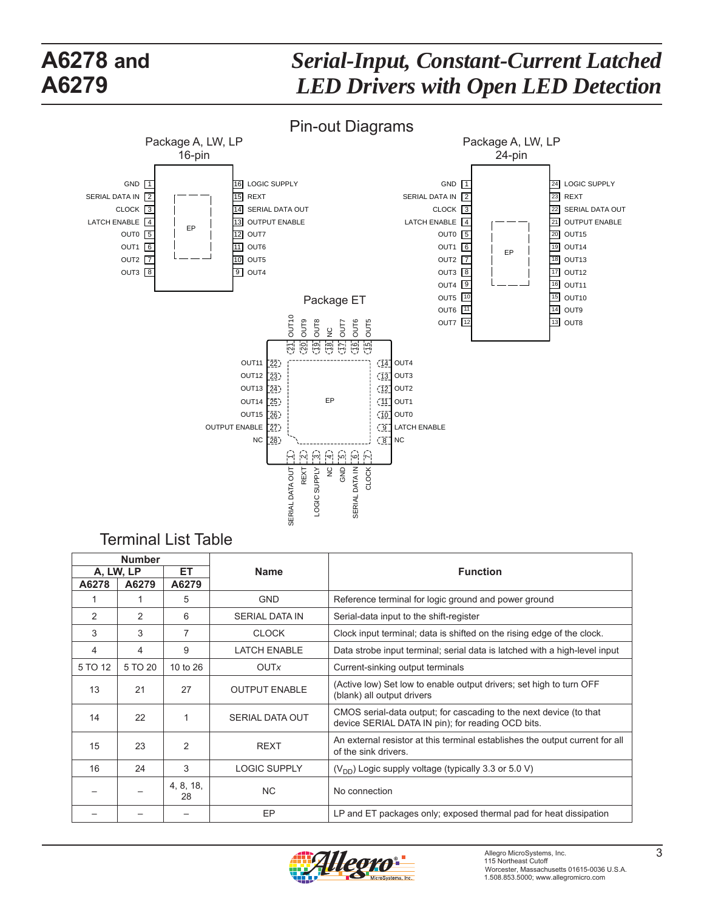## *Serial-Input, Constant-Current Latched LED Drivers with Open LED Detection*



#### Terminal List Table

| <b>Number</b>   |               |                 |                        |                                                                                                                         |
|-----------------|---------------|-----------------|------------------------|-------------------------------------------------------------------------------------------------------------------------|
| ET<br>A, LW, LP |               | <b>Name</b>     | <b>Function</b>        |                                                                                                                         |
| A6278           | A6279         | A6279           |                        |                                                                                                                         |
|                 |               | 5               | <b>GND</b>             | Reference terminal for logic ground and power ground                                                                    |
| $\overline{2}$  | $\mathcal{P}$ | 6               | <b>SERIAL DATA IN</b>  | Serial-data input to the shift-register                                                                                 |
| 3               | 3             | 7               | <b>CLOCK</b>           | Clock input terminal; data is shifted on the rising edge of the clock.                                                  |
| 4               | 4             | 9               | <b>LATCH ENABLE</b>    | Data strobe input terminal; serial data is latched with a high-level input                                              |
| 5 TO 12         | 5 TO 20       | 10 to 26        | <b>OUTx</b>            | Current-sinking output terminals                                                                                        |
| 13              | 21            | 27              | <b>OUTPUT ENABLE</b>   | (Active low) Set low to enable output drivers; set high to turn OFF<br>(blank) all output drivers                       |
| 14              | 22            | 1               | <b>SERIAL DATA OUT</b> | CMOS serial-data output; for cascading to the next device (to that<br>device SERIAL DATA IN pin); for reading OCD bits. |
| 15              | 23            | $\overline{2}$  | <b>REXT</b>            | An external resistor at this terminal establishes the output current for all<br>of the sink drivers.                    |
| 16              | 24            | 3               | <b>LOGIC SUPPLY</b>    | $(V_{DD})$ Logic supply voltage (typically 3.3 or 5.0 V)                                                                |
|                 |               | 4, 8, 18,<br>28 | <b>NC</b>              | No connection                                                                                                           |
|                 |               |                 | EP                     | LP and ET packages only; exposed thermal pad for heat dissipation                                                       |

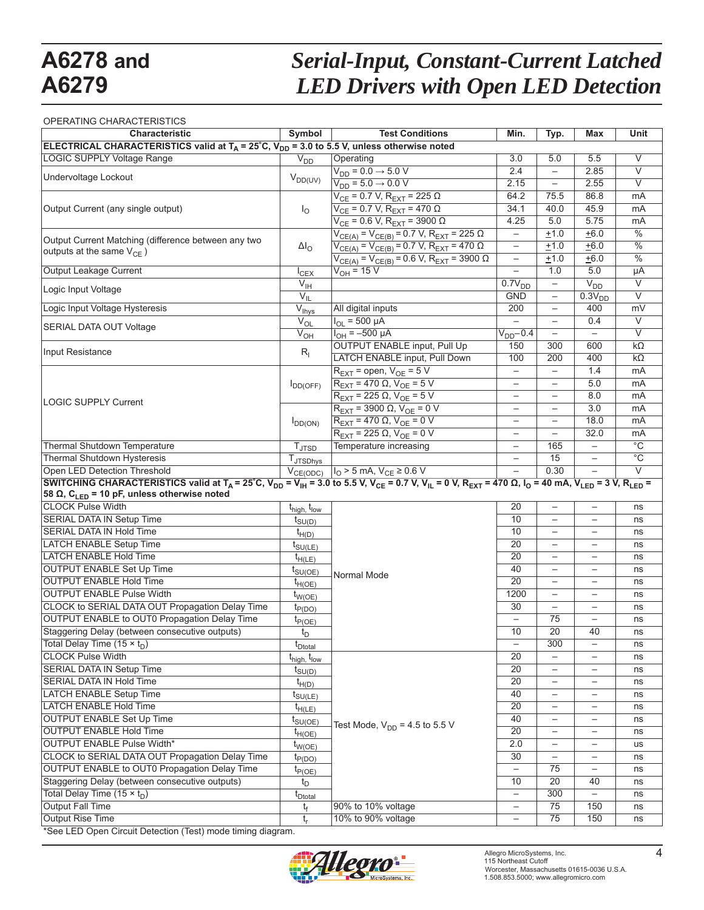# *Serial-Input, Constant-Current Latched LED Drivers with Open LED Detection*

#### OPERATING CHARACTERISTICS

| Characteristic                                                                                                                                                                                                                                           | Symbol                              | <b>Test Conditions</b>                                    | Min.                     | Typ.                     | <b>Max</b>                        | Unit              |
|----------------------------------------------------------------------------------------------------------------------------------------------------------------------------------------------------------------------------------------------------------|-------------------------------------|-----------------------------------------------------------|--------------------------|--------------------------|-----------------------------------|-------------------|
| ELECTRICAL CHARACTERISTICS valid at $T_A = 25^\circ C$ , $V_{DD} = 3.0$ to 5.5 V, unless otherwise noted                                                                                                                                                 |                                     |                                                           |                          |                          |                                   |                   |
| LOGIC SUPPLY Voltage Range                                                                                                                                                                                                                               | $V_{DD}$                            | Operating                                                 | 3.0                      | 5.0                      | 5.5                               | V                 |
|                                                                                                                                                                                                                                                          |                                     | $V_{DD} = 0.0 \rightarrow 5.0 V$                          | 2.4                      | $\overline{\phantom{m}}$ | 2.85                              | $\overline{\vee}$ |
| Undervoltage Lockout                                                                                                                                                                                                                                     | $V_{DD(UV)}$                        | $V_{DD} = 5.0 \rightarrow 0.0 V$                          | 2.15                     |                          | 2.55                              | $\overline{\vee}$ |
|                                                                                                                                                                                                                                                          |                                     | $V_{CE}$ = 0.7 V, R <sub>EXT</sub> = 225 Ω                | 64.2                     | 75.5                     | 86.8                              | mA                |
| Output Current (any single output)                                                                                                                                                                                                                       | $I_{\rm O}$                         | $V_{CE}$ = 0.7 V, R <sub>EXT</sub> = 470 $\Omega$         | 34.1                     | 40.0                     | 45.9                              | mA                |
|                                                                                                                                                                                                                                                          |                                     | $V_{CE}$ = 0.6 V, R <sub>EXT</sub> = 3900 Ω               | 4.25                     | 5.0                      | 5.75                              | mA                |
|                                                                                                                                                                                                                                                          |                                     | $V_{CE(A)} = V_{CE(B)} = 0.7$ V, $R_{EXT} = 225$ $\Omega$ | $\overline{\phantom{0}}$ | ±1.0                     | $\overline{+6.0}$                 | $\frac{0}{6}$     |
| Output Current Matching (difference between any two                                                                                                                                                                                                      |                                     | $V_{CE(A)} = V_{CE(B)} = 0.7 V, R_{EXT} = 470 \Omega$     | $\qquad \qquad -$        | $+1.0$                   | ± 6.0                             | $\frac{0}{6}$     |
| outputs at the same $V_{CE}$ )                                                                                                                                                                                                                           | $\Delta I_{\rm O}$                  | $V_{CE(A)} = V_{CE(B)} = 0.6 V, R_{EXT} = 3900 \Omega$    | $\overline{\phantom{0}}$ | $+1.0$                   | $+6.0$                            | $\frac{0}{6}$     |
| Output Leakage Current                                                                                                                                                                                                                                   | $I_{CEX}$                           | $V_{OH} = 15 V$                                           | $\overline{\phantom{0}}$ | 1.0                      | 5.0                               | μA                |
|                                                                                                                                                                                                                                                          | $V_{\text{IH}}$                     |                                                           | $\overline{0.7V_{DD}}$   |                          | $V_{DD}$                          | $\overline{\vee}$ |
| Logic Input Voltage                                                                                                                                                                                                                                      | $V_{IL}$                            |                                                           | <b>GND</b>               |                          | $0.3V_{DD}$                       | $\overline{\vee}$ |
| Logic Input Voltage Hysteresis                                                                                                                                                                                                                           | $\overline{V}_{\text{Ihys}}$        | All digital inputs                                        | 200                      |                          | 400                               | mV                |
|                                                                                                                                                                                                                                                          | $\overline{V}_{OL}$                 | $I_{OL}$ = 500 µA                                         | $\overline{\phantom{0}}$ | $\overline{\phantom{0}}$ | 0.4                               | $\overline{\vee}$ |
| <b>SERIAL DATA OUT Voltage</b>                                                                                                                                                                                                                           | $\overline{V}_{OH}$                 | $I_{OH} = -500 \mu A$                                     | $V_{DD}$ -0.4            |                          | $\qquad \qquad -$                 | $\overline{\vee}$ |
|                                                                                                                                                                                                                                                          |                                     | <b>OUTPUT ENABLE input, Pull Up</b>                       | 150                      | 300                      | 600                               | $k\Omega$         |
| Input Resistance                                                                                                                                                                                                                                         | $R_{I}$                             | LATCH ENABLE input, Pull Down                             | 100                      | 200                      | 400                               | $k\Omega$         |
|                                                                                                                                                                                                                                                          |                                     | $R_{\text{EXT}}$ = open, $V_{\text{OE}}$ = 5 V            | $\overline{\phantom{0}}$ |                          | 1.4                               | mA                |
|                                                                                                                                                                                                                                                          | $I_{DD(OFF)}$                       | $R_{\text{EXT}}$ = 470 $\Omega$ , $V_{\text{OE}}$ = 5 V   | $\overline{\phantom{0}}$ |                          | 5.0                               | mA                |
|                                                                                                                                                                                                                                                          |                                     | $R_{\text{EXT}}$ = 225 $\Omega$ , $V_{\text{OE}}$ = 5 V   | $\qquad \qquad -$        |                          | 8.0                               | mA                |
| LOGIC SUPPLY Current                                                                                                                                                                                                                                     |                                     | $R_{\text{EXT}}$ = 3900 $\Omega$ , $V_{\text{OE}}$ = 0 V  | $\overline{\phantom{0}}$ |                          | 3.0                               | mA                |
|                                                                                                                                                                                                                                                          | $I_{DD(ON)}$                        | $R_{\text{EXT}} = 470 \Omega$ , $V_{\text{OE}} = 0 V$     | $\overline{\phantom{0}}$ |                          | 18.0                              | mA                |
|                                                                                                                                                                                                                                                          |                                     | $R_{\text{EXT}}$ = 225 $\Omega$ , $V_{\text{OE}}$ = 0 V   | $\overline{\phantom{0}}$ |                          | 32.0                              | mA                |
| <b>Thermal Shutdown Temperature</b>                                                                                                                                                                                                                      | $T_{\text{JTSD}}$                   | Temperature increasing                                    | $\qquad \qquad -$        | 165                      |                                   | $\overline{C}$    |
| Thermal Shutdown Hysteresis                                                                                                                                                                                                                              | <b>T</b> JTSDhys                    |                                                           | $\overline{\phantom{0}}$ | 15                       | $\qquad \qquad -$                 | $\overline{C}$    |
| Open LED Detection Threshold                                                                                                                                                                                                                             | $V_{CE(ODC)}$                       | $I_0$ > 5 mA, $V_{CE}$ ≥ 0.6 V                            | $\overline{\phantom{0}}$ | 0.30                     |                                   | $\vee$            |
| SWITCHING CHARACTERISTICS valid at T <sub>A</sub> = 25°C, V <sub>DD</sub> = V <sub>IH</sub> = 3.0 to 5.5 V, V <sub>CE</sub> = 0.7 V, V <sub>IL</sub> = 0 V, R <sub>EXT</sub> = 470 Q, I <sub>O</sub> = 40 mA, V <sub>LED</sub> = 3 V, R <sub>LED</sub> = |                                     |                                                           |                          |                          |                                   |                   |
| 58 $\Omega$ , C <sub>LED</sub> = 10 pF, unless otherwise noted                                                                                                                                                                                           |                                     |                                                           |                          |                          |                                   |                   |
| <b>CLOCK Pulse Width</b>                                                                                                                                                                                                                                 | t <sub>high,</sub> t <sub>low</sub> |                                                           | $\overline{20}$          | $\overline{\phantom{m}}$ | $\overline{\phantom{m}}$          | ns                |
| <b>SERIAL DATA IN Setup Time</b>                                                                                                                                                                                                                         | $t_{SU(D)}$                         |                                                           | 10                       |                          | —                                 | ns                |
| <b>SERIAL DATA IN Hold Time</b>                                                                                                                                                                                                                          | $t_{H(D)}$                          |                                                           | 10                       |                          | $\overline{\phantom{0}}$          | ns                |
| <b>LATCH ENABLE Setup Time</b>                                                                                                                                                                                                                           | $t_{\text{SU(LE)}}$                 |                                                           | $\overline{20}$          |                          |                                   | ns                |
| <b>LATCH ENABLE Hold Time</b>                                                                                                                                                                                                                            | $t_{H(LE)}$                         |                                                           | 20                       |                          | $\qquad \qquad -$                 | ns                |
| <b>OUTPUT ENABLE Set Up Time</b>                                                                                                                                                                                                                         | $t_{\text{SU(OE)}}$                 |                                                           | 40                       | $\overline{\phantom{m}}$ | $\overline{\phantom{0}}$          | ns                |
| <b>OUTPUT ENABLE Hold Time</b>                                                                                                                                                                                                                           | $t_{H(OE)}$                         | Normal Mode                                               | 20                       |                          | $\qquad \qquad -$                 | ns                |
| <b>OUTPUT ENABLE Pulse Width</b>                                                                                                                                                                                                                         | $t_{W(OE)}$                         |                                                           | 1200                     |                          | $\qquad \qquad -$                 | ns                |
| CLOCK to SERIAL DATA OUT Propagation Delay Time                                                                                                                                                                                                          | $t_{P(DO)}$                         |                                                           | 30                       | $\overline{\phantom{m}}$ | $\qquad \qquad -$                 | ns                |
| OUTPUT ENABLE to OUT0 Propagation Delay Time                                                                                                                                                                                                             | $t_{P(OE)}$                         |                                                           |                          | 75                       |                                   | ns                |
| Staggering Delay (between consecutive outputs)                                                                                                                                                                                                           | $t_{\text{D}}$                      |                                                           | 10                       | 20                       | 40                                | ns                |
| Total Delay Time $(15 \times t_D)$                                                                                                                                                                                                                       | t <sub>Dtotal</sub>                 |                                                           | —                        | 300                      | $\qquad \qquad -$                 | ns                |
| <b>CLOCK Pulse Width</b>                                                                                                                                                                                                                                 | t <sub>high,</sub> t <sub>low</sub> |                                                           | 20                       |                          | $\qquad \qquad -$                 | ns                |
| SERIAL DATA IN Setup Time                                                                                                                                                                                                                                | $t_{SU(D)}$                         |                                                           | 20                       |                          | $\qquad \qquad -$                 | ns                |
| SERIAL DATA IN Hold Time                                                                                                                                                                                                                                 | $t_{H(D)}$                          |                                                           | 20                       |                          | $\overbrace{\phantom{123221111}}$ | ns                |
| <b>LATCH ENABLE Setup Time</b>                                                                                                                                                                                                                           | $t_{\text{SU(LE)}}$                 |                                                           | 40                       |                          |                                   | ns                |
| <b>LATCH ENABLE Hold Time</b>                                                                                                                                                                                                                            | $t_{H(LE)}$                         |                                                           | 20                       | $\overline{\phantom{0}}$ | $\overline{\phantom{m}}$          | ns                |
| <b>OUTPUT ENABLE Set Up Time</b>                                                                                                                                                                                                                         | $t_{\text{SU(OE)}}$                 |                                                           | 40                       |                          | $\overline{\phantom{m}}$          | ns                |
| <b>OUTPUT ENABLE Hold Time</b>                                                                                                                                                                                                                           | $t_{H(OE)}$                         | Test Mode, $V_{DD} = 4.5$ to 5.5 V                        | $\overline{20}$          |                          | $\qquad \qquad -$                 | ns                |
| <b>OUTPUT ENABLE Pulse Width*</b>                                                                                                                                                                                                                        | $t_{W(OE)}$                         |                                                           | 2.0                      |                          |                                   | us                |
| CLOCK to SERIAL DATA OUT Propagation Delay Time                                                                                                                                                                                                          |                                     |                                                           | 30                       |                          | $\overbrace{\phantom{1232211}}$   | ns                |
| OUTPUT ENABLE to OUT0 Propagation Delay Time                                                                                                                                                                                                             | $t_{P(DO)}$<br>$t_{P(OE)}$          |                                                           | $\qquad \qquad -$        | 75                       | $\overline{\phantom{0}}$          | ns                |
| Staggering Delay (between consecutive outputs)                                                                                                                                                                                                           | $t_D$                               |                                                           | 10                       | 20                       | 40                                | ns                |
| Total Delay Time $(15 \times t_D)$                                                                                                                                                                                                                       | t <sub>Dtotal</sub>                 |                                                           | $\qquad \qquad -$        | 300                      |                                   | ns                |
| Output Fall Time                                                                                                                                                                                                                                         | t <sub>f</sub>                      | 90% to 10% voltage                                        | $\qquad \qquad -$        | $\overline{75}$          | 150                               | ns                |
| Output Rise Time                                                                                                                                                                                                                                         | $t_{r}$                             | 10% to 90% voltage                                        | $\overline{\phantom{0}}$ | 75                       | 150                               | ns                |
|                                                                                                                                                                                                                                                          |                                     |                                                           |                          |                          |                                   |                   |



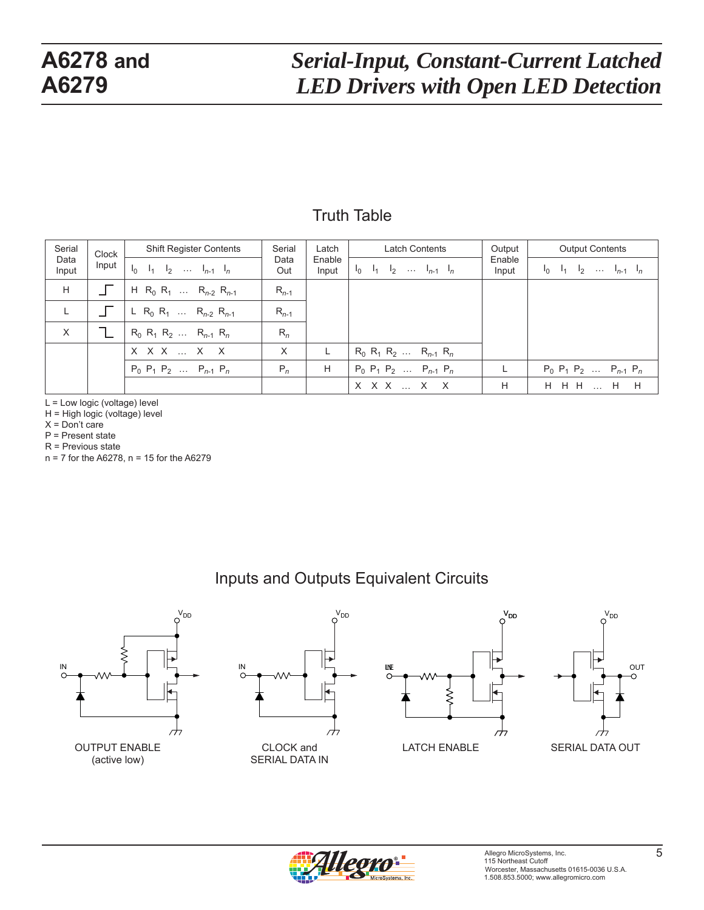#### Truth Table

| Serial<br>Clock<br>Data<br>Input<br>Input | <b>Shift Register Contents</b> | Serial                                                            | Latch       | <b>Latch Contents</b> | Output                            | <b>Output Contents</b> |                                   |  |
|-------------------------------------------|--------------------------------|-------------------------------------------------------------------|-------------|-----------------------|-----------------------------------|------------------------|-----------------------------------|--|
|                                           |                                | $I_0$ $I_1$ $I_2$ $I_{n-1}$ $I_n$                                 | Data<br>Out | Enable<br>Input       | $I_0$ $I_1$ $I_2$ $I_{n-1}$ $I_n$ | Enable<br>Input        | $I_0$ $I_1$ $I_2$ $I_{n-1}$ $I_n$ |  |
| H                                         |                                | H R <sub>0</sub> R <sub>1</sub> R <sub>n-2</sub> R <sub>n-1</sub> | $R_{n-1}$   |                       |                                   |                        |                                   |  |
| L                                         |                                | L R <sub>0</sub> R <sub>1</sub> R <sub>n-2</sub> R <sub>n-1</sub> | $R_{n-1}$   |                       |                                   |                        |                                   |  |
| X                                         |                                | $R_0$ $R_1$ $R_2$ $R_{n-1}$ $R_n$                                 | $R_n$       |                       |                                   |                        |                                   |  |
|                                           |                                | $X$ $X$ $X$ $$ $X$ $X$                                            | X           | L.                    | $R_0$ $R_1$ $R_2$ $R_{n-1}$ $R_n$ |                        |                                   |  |
|                                           |                                | $P_0$ $P_1$ $P_2$ $P_{n-1}$ $P_n$                                 | $P_n$       | H                     | $P_0$ $P_1$ $P_2$ $P_{n-1}$ $P_n$ |                        | $P_0$ $P_1$ $P_2$ $P_{n-1}$ $P_n$ |  |
|                                           |                                |                                                                   |             |                       | X X X  X X                        | H                      | H H H  H H                        |  |

L = Low logic (voltage) level

H = High logic (voltage) level

X = Don't care

P = Present state

R = Previous state

n = 7 for the A6278, n = 15 for the A6279

#### Inputs and Outputs Equivalent Circuits





SERIAL DATA IN





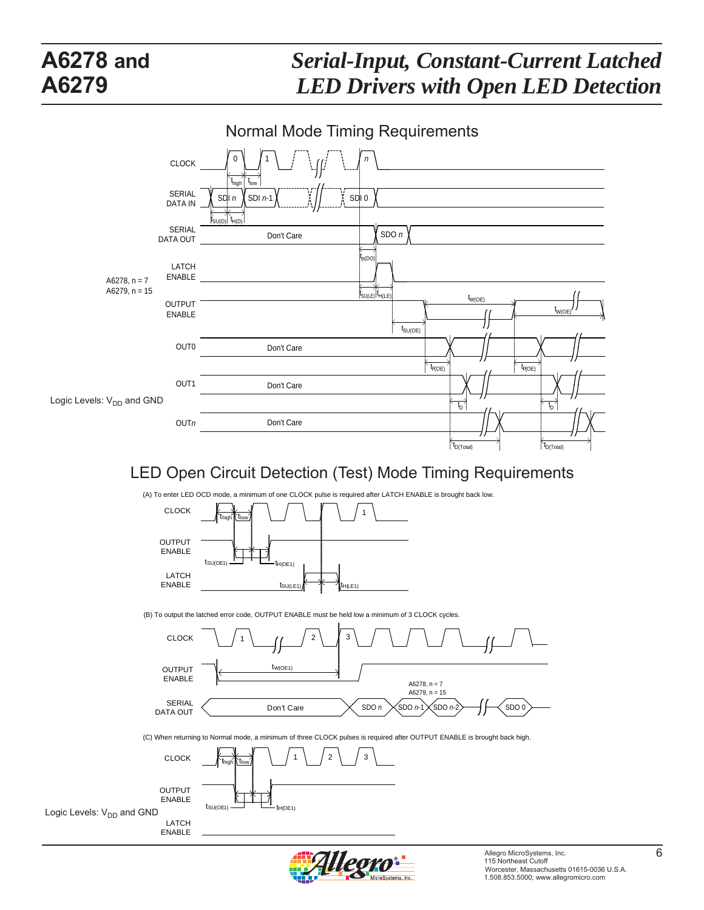

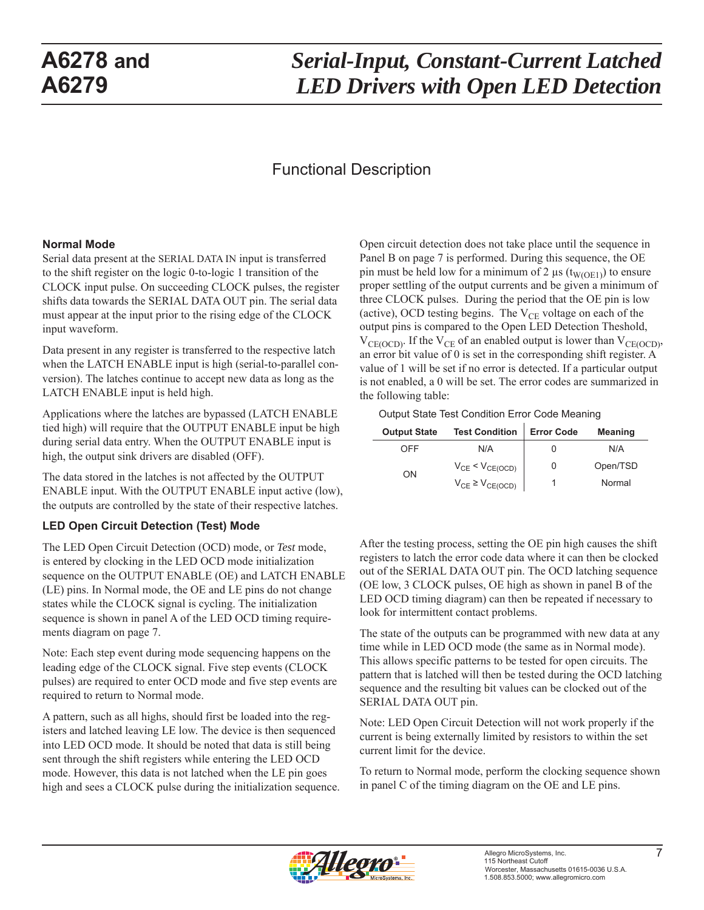# *Serial-Input, Constant-Current Latched LED Drivers with Open LED Detection*

#### Functional Description

#### **Normal Mode**

Serial data present at the SERIAL DATA IN input is transferred to the shift register on the logic 0-to-logic 1 transition of the CLOCK input pulse. On succeeding CLOCK pulses, the register shifts data towards the SERIAL DATA OUT pin. The serial data must appear at the input prior to the rising edge of the CLOCK input waveform.

Data present in any register is transferred to the respective latch when the LATCH ENABLE input is high (serial-to-parallel conversion). The latches continue to accept new data as long as the LATCH ENABLE input is held high.

Applications where the latches are bypassed (LATCH ENABLE tied high) will require that the OUTPUT ENABLE input be high during serial data entry. When the OUTPUT ENABLE input is high, the output sink drivers are disabled (OFF).

The data stored in the latches is not affected by the OUTPUT ENABLE input. With the OUTPUT ENABLE input active (low), the outputs are controlled by the state of their respective latches.

#### **LED Open Circuit Detection (Test) Mode**

The LED Open Circuit Detection (OCD) mode, or *Test* mode, is entered by clocking in the LED OCD mode initialization sequence on the OUTPUT ENABLE (OE) and LATCH ENABLE (LE) pins. In Normal mode, the OE and LE pins do not change states while the CLOCK signal is cycling. The initialization sequence is shown in panel A of the LED OCD timing requirements diagram on page 7.

Note: Each step event during mode sequencing happens on the leading edge of the CLOCK signal. Five step events (CLOCK pulses) are required to enter OCD mode and five step events are required to return to Normal mode.

A pattern, such as all highs, should first be loaded into the registers and latched leaving LE low. The device is then sequenced into LED OCD mode. It should be noted that data is still being sent through the shift registers while entering the LED OCD mode. However, this data is not latched when the LE pin goes high and sees a CLOCK pulse during the initialization sequence. Open circuit detection does not take place until the sequence in Panel B on page 7 is performed. During this sequence, the OE pin must be held low for a minimum of 2 μs ( $t_{W(OE1)}$ ) to ensure proper settling of the output currents and be given a minimum of three CLOCK pulses. During the period that the OE pin is low (active), OCD testing begins. The  $V_{CE}$  voltage on each of the output pins is compared to the Open LED Detection Theshold,  $V_{CE(OCD)}$ . If the  $V_{CE}$  of an enabled output is lower than  $V_{CE(OCD)}$ , an error bit value of 0 is set in the corresponding shift register. A value of 1 will be set if no error is detected. If a particular output is not enabled, a 0 will be set. The error codes are summarized in the following table:

Output State Test Condition Error Code Meaning

| <b>Output State</b> | <b>Test Condition</b>     | <b>Error Code</b> | Meaning  |
|---------------------|---------------------------|-------------------|----------|
| OFF                 | N/A                       |                   | N/A      |
| OΝ                  | $V_{CE}$ < $V_{CE(OCD)}$  | 0                 | Open/TSD |
|                     | $V_{CE} \geq V_{CE(OCD)}$ |                   | Normal   |

After the testing process, setting the OE pin high causes the shift registers to latch the error code data where it can then be clocked out of the SERIAL DATA OUT pin. The OCD latching sequence (OE low, 3 CLOCK pulses, OE high as shown in panel B of the LED OCD timing diagram) can then be repeated if necessary to look for intermittent contact problems.

The state of the outputs can be programmed with new data at any time while in LED OCD mode (the same as in Normal mode). This allows specific patterns to be tested for open circuits. The pattern that is latched will then be tested during the OCD latching sequence and the resulting bit values can be clocked out of the SERIAL DATA OUT pin.

Note: LED Open Circuit Detection will not work properly if the current is being externally limited by resistors to within the set current limit for the device.

To return to Normal mode, perform the clocking sequence shown in panel C of the timing diagram on the OE and LE pins.

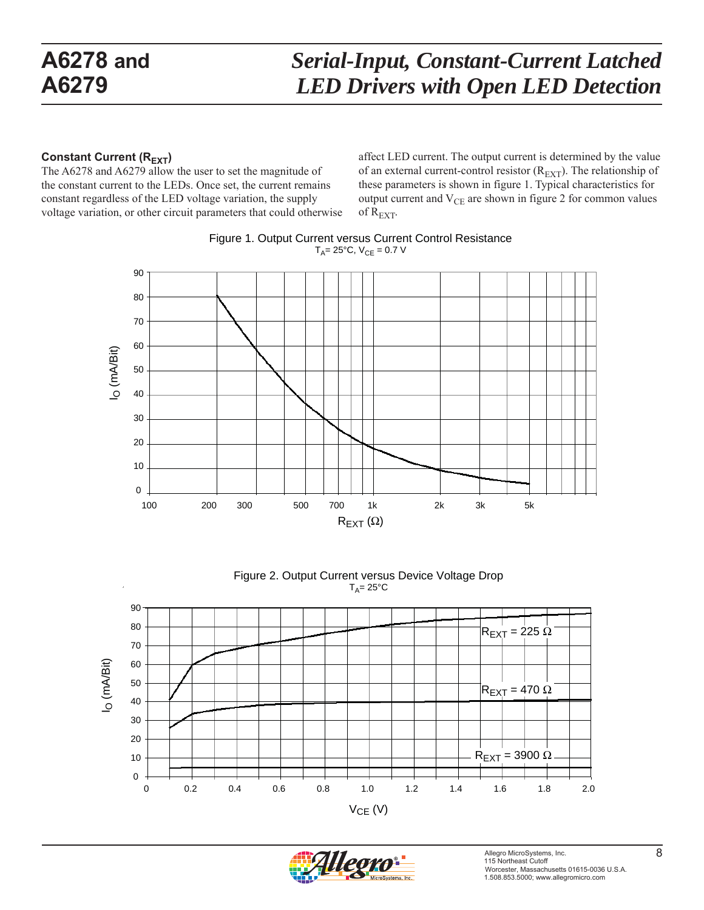#### **Constant Current (REXT)**

The A6278 and A6279 allow the user to set the magnitude of the constant current to the LEDs. Once set, the current remains constant regardless of the LED voltage variation, the supply voltage variation, or other circuit parameters that could otherwise affect LED current. The output current is determined by the value of an external current-control resistor  $(R_{\text{EXT}})$ . The relationship of these parameters is shown in figure 1. Typical characteristics for output current and  $V_{CE}$  are shown in figure 2 for common values of  $R_{\text{EXT}}$ .







Figure 2. Output Current versus Device Voltage Drop  $T_A = 25$ °C

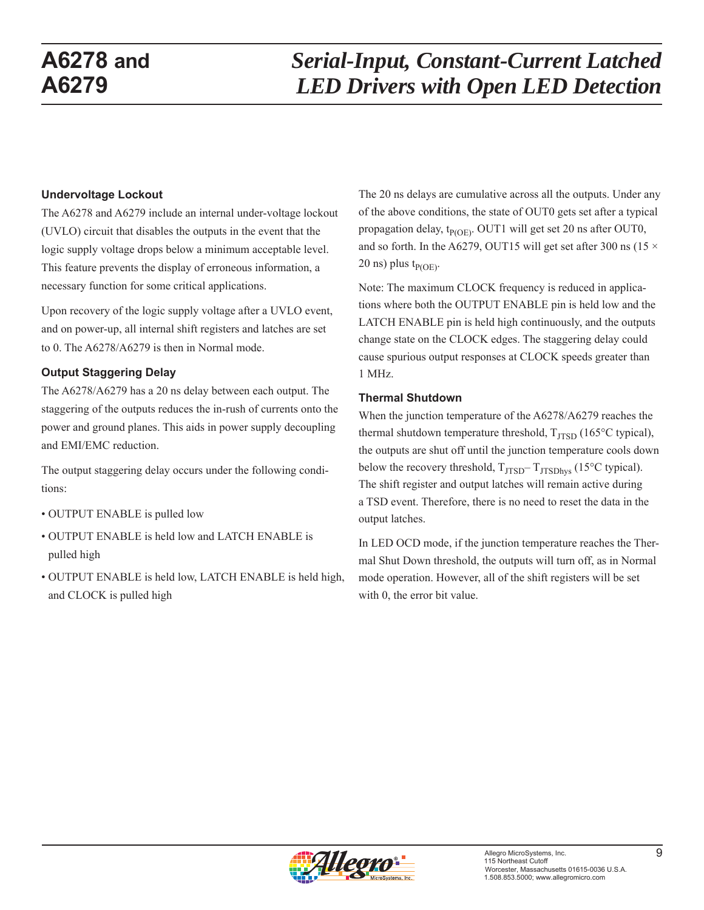#### **Undervoltage Lockout**

The A6278 and A6279 include an internal under-voltage lockout (UVLO) circuit that disables the outputs in the event that the logic supply voltage drops below a minimum acceptable level. This feature prevents the display of erroneous information, a necessary function for some critical applications.

Upon recovery of the logic supply voltage after a UVLO event, and on power-up, all internal shift registers and latches are set to 0. The A6278/A6279 is then in Normal mode.

#### **Output Staggering Delay**

The A6278/A6279 has a 20 ns delay between each output. The staggering of the outputs reduces the in-rush of currents onto the power and ground planes. This aids in power supply decoupling and EMI/EMC reduction.

The output staggering delay occurs under the following conditions:

- OUTPUT ENABLE is pulled low
- OUTPUT ENABLE is held low and LATCH ENABLE is pulled high
- OUTPUT ENABLE is held low, LATCH ENABLE is held high, and CLOCK is pulled high

The 20 ns delays are cumulative across all the outputs. Under any of the above conditions, the state of OUT0 gets set after a typical propagation delay,  $t_{P(OE)}$ . OUT1 will get set 20 ns after OUT0, and so forth. In the A6279, OUT15 will get set after 300 ns (15  $\times$ 20 ns) plus  $t_{P(OE)}$ .

Note: The maximum CLOCK frequency is reduced in applications where both the OUTPUT ENABLE pin is held low and the LATCH ENABLE pin is held high continuously, and the outputs change state on the CLOCK edges. The staggering delay could cause spurious output responses at CLOCK speeds greater than 1 MHz.

#### **Thermal Shutdown**

When the junction temperature of the A6278/A6279 reaches the thermal shutdown temperature threshold,  $T_{ITSD}$  (165 $\degree$ C typical), the outputs are shut off until the junction temperature cools down below the recovery threshold,  $T_{JTSD}-T_{JTSDhys}$  (15°C typical). The shift register and output latches will remain active during a TSD event. Therefore, there is no need to reset the data in the output latches.

In LED OCD mode, if the junction temperature reaches the Thermal Shut Down threshold, the outputs will turn off, as in Normal mode operation. However, all of the shift registers will be set with 0, the error bit value.

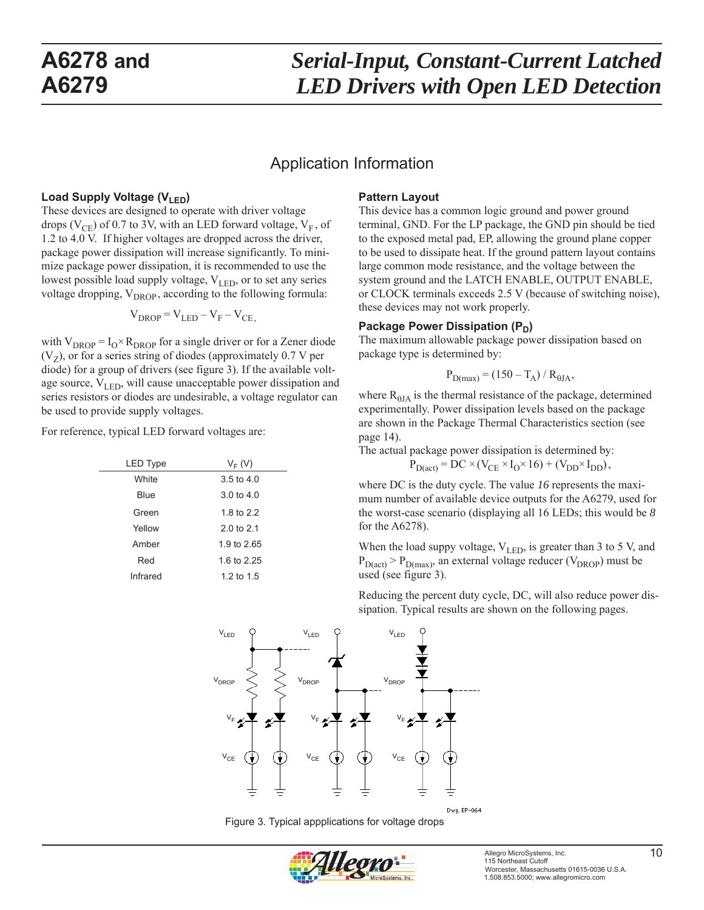#### Application Information

#### Load Supply Voltage (V<sub>LED</sub>)

These devices are designed to operate with driver voltage drops ( $V_{\text{CE}}$ ) of 0.7 to 3V, with an LED forward voltage,  $V_{\text{F}}$ , of 1.2 to 4.0 V. If higher voltages are dropped across the driver, package power dissipation will increase significantly. To minimize package power dissipation, it is recommended to use the lowest possible load supply voltage,  $V_{LED}$ , or to set any series voltage dropping,  $V_{DROP}$ , according to the following formula:

$$
V_{DROP} = V_{LED} - V_F - V_{CE},
$$

with  $V_{DROP} = I_0 \times R_{DROP}$  for a single driver or for a Zener diode  $(V<sub>z</sub>)$ , or for a series string of diodes (approximately 0.7 V per diode) for a group of drivers (see figure 3). If the available voltage source,  $V_{LED}$ , will cause unacceptable power dissipation and series resistors or diodes are undesirable, a voltage regulator can be used to provide supply voltages.

For reference, typical LED forward voltages are:

| $V_F(V)$              |
|-----------------------|
| $3.5 \text{ to } 4.0$ |
| $3.0 \text{ to } 4.0$ |
| 1.8 to 2.2            |
| 2.0 to $2.1$          |
| 1.9 to 2.65           |
| 1.6 to 2.25           |
| 1.2 to 1.5            |
|                       |

#### **Pattern Layout**

This device has a common logic ground and power ground terminal, GND. For the LP package, the GND pin should be tied to the exposed metal pad, EP, allowing the ground plane copper to be used to dissipate heat. If the ground pattern layout contains large common mode resistance, and the voltage between the system ground and the LATCH ENABLE, OUTPUT ENABLE, or CLOCK terminals exceeds 2.5 V (because of switching noise), these devices may not work properly.

#### **Package Power Dissipation (P<sub>n</sub>)**

The maximum allowable package power dissipation based on package type is determined by:

$$
P_{D(max)} = (150 - T_A) / R_{0JA},
$$

where  $R<sub>0JA</sub>$  is the thermal resistance of the package, determined experimentally. Power dissipation levels based on the package are shown in the Package Thermal Characteristics section (see page 14).

The actual package power dissipation is determined by:

$$
P_{D(act)} = DC \times (V_{CE} \times I_0 \times 16) + (V_{DD} \times I_{DD}),
$$

where DC is the duty cycle. The value *16* represents the maximum number of available device outputs for the A6279, used for the worst-case scenario (displaying all 16 LEDs; this would be *8* for the A6278).

When the load suppy voltage,  $V_{LED}$ , is greater than 3 to 5 V, and  $P_{D(act)} > P_{D(max)}$ , an external voltage reducer (V<sub>DROP</sub>) must be used (see figure 3).

Reducing the percent duty cycle, DC, will also reduce power dissipation. Typical results are shown on the following pages.



Figure 3. Typical appplications for voltage drops

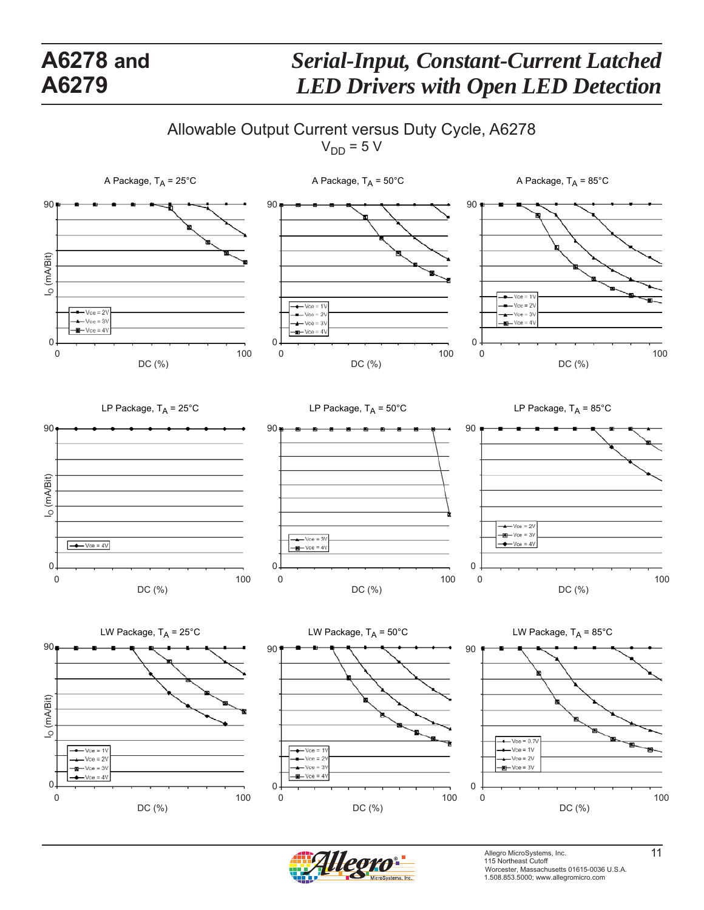# *Serial-Input, Constant-Current Latched LED Drivers with Open LED Detection*

Allowable Output Current versus Duty Cycle, A6278

 $V_{DD} = 5 V$ 





Allegro MicroSystems, Inc. 115 Northeast Cutoff **11** Worcester, Massachusetts 01615-0036 U.S.A. 1.508.853.5000; www.allegromicro.com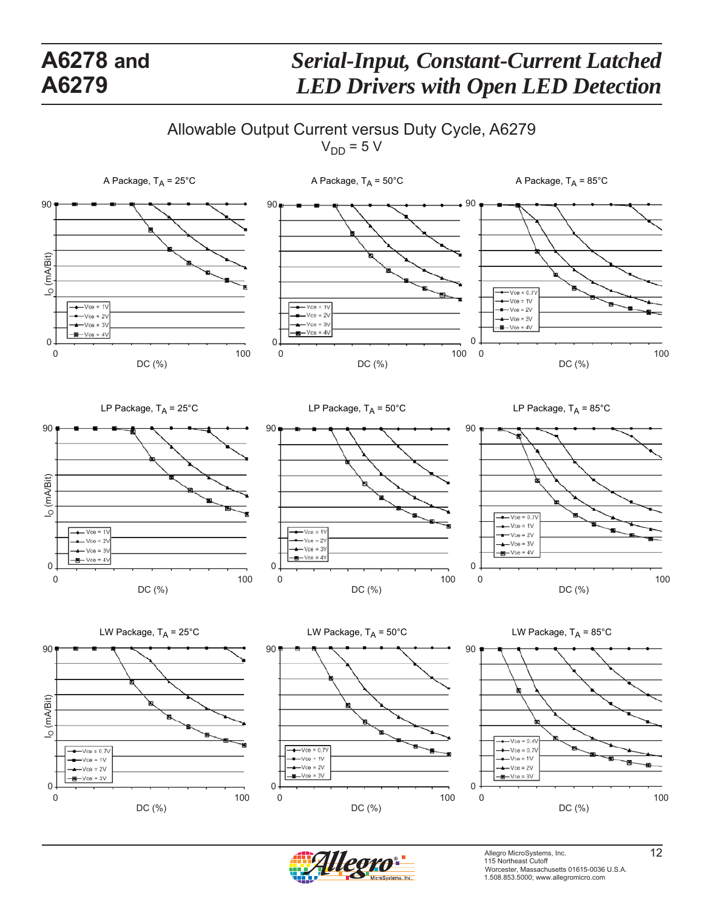# *Serial-Input, Constant-Current Latched LED Drivers with Open LED Detection*

Allowable Output Current versus Duty Cycle, A6279

 $V_{DD} = 5 V$ 





Allegro MicroSystems, Inc. 12<br>115 Northeast Cutoff Worcester, Massachusetts 01615-0036 U.S.A. 1.508.853.5000; www.allegromicro.com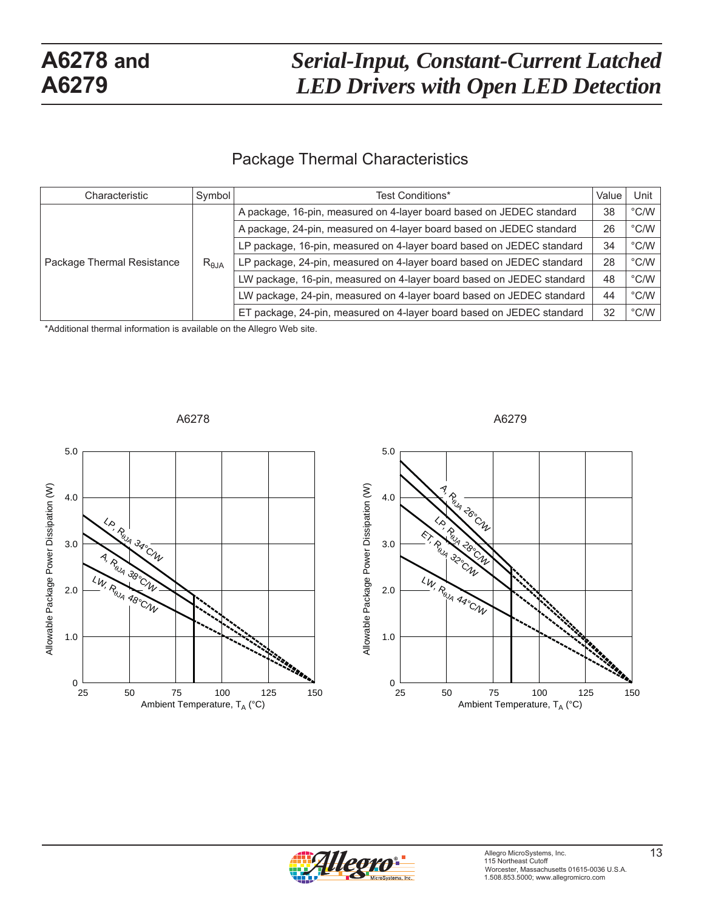#### Package Thermal Characteristics

| Symbol<br>Characteristic   |                | Test Conditions*                                                      | Value | Unit                   |
|----------------------------|----------------|-----------------------------------------------------------------------|-------|------------------------|
|                            | $R_{\theta$ JA | A package, 16-pin, measured on 4-layer board based on JEDEC standard  | 38    | $^{\circ}$ C/W $\vert$ |
|                            |                | A package, 24-pin, measured on 4-layer board based on JEDEC standard  | 26    | $^{\circ}$ C/W $\vert$ |
|                            |                | LP package, 16-pin, measured on 4-layer board based on JEDEC standard | 34    | $^{\circ}$ C/W $\vert$ |
| Package Thermal Resistance |                | LP package, 24-pin, measured on 4-layer board based on JEDEC standard | 28    | $^{\circ}$ C/W $\vert$ |
|                            |                | LW package, 16-pin, measured on 4-layer board based on JEDEC standard | 48    | $^{\circ}$ C/W $ $     |
|                            |                | LW package, 24-pin, measured on 4-layer board based on JEDEC standard | 44    | $^{\circ}$ C/W $\vert$ |
|                            |                | ET package, 24-pin, measured on 4-layer board based on JEDEC standard | 32    | $^{\circ}$ C/W $\vert$ |

\*Additional thermal information is available on the Allegro Web site.







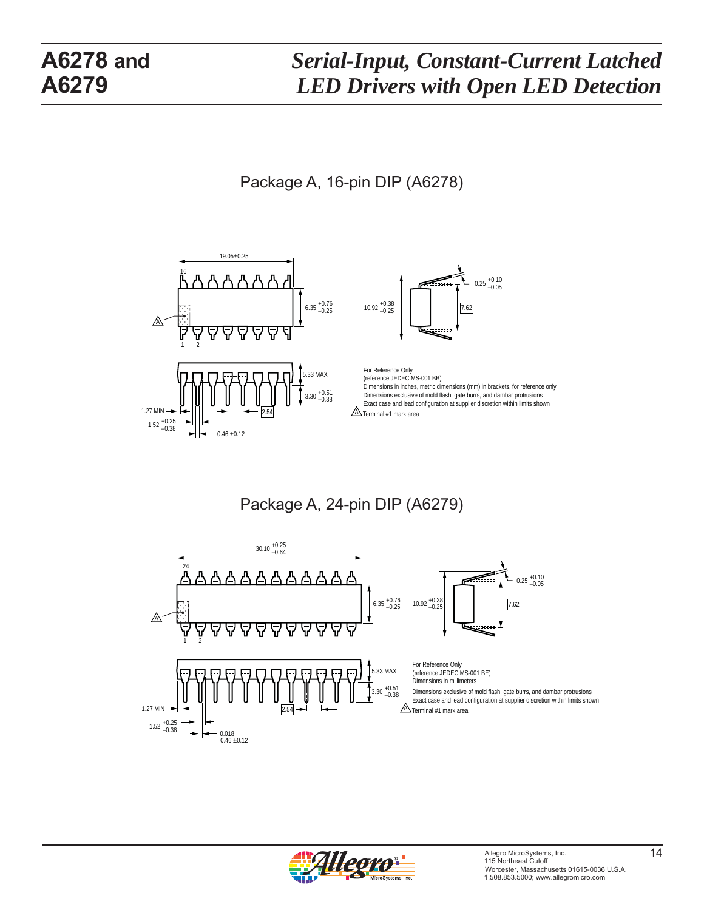Package A, 16-pin DIP (A6278)



Package A, 24-pin DIP (A6279)



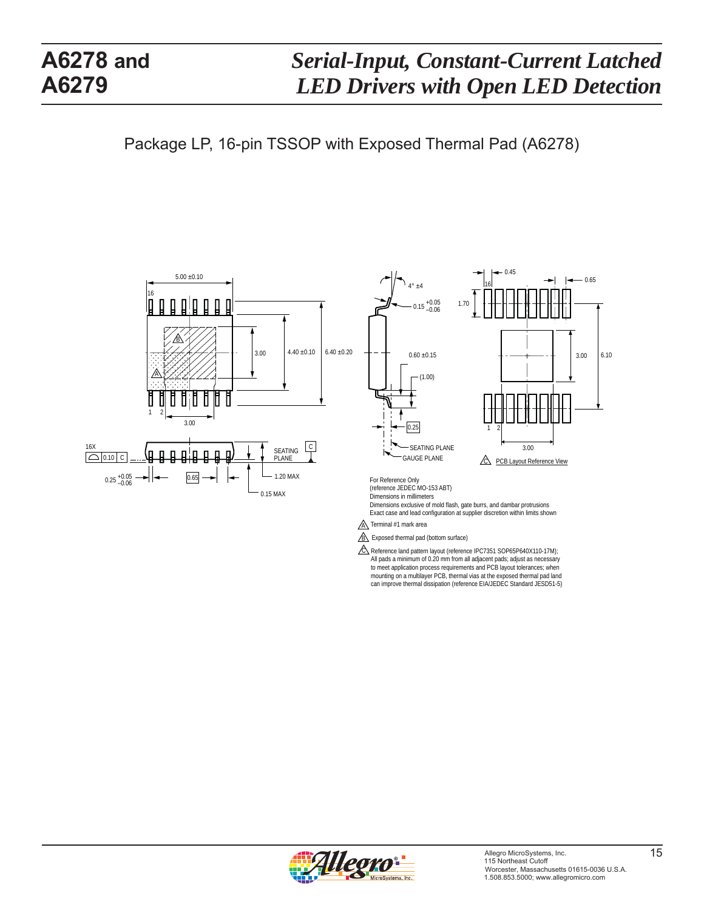can improve thermal dissipation (reference EIA/JEDEC Standard JESD51-5)

Package LP, 16-pin TSSOP with Exposed Thermal Pad (A6278)



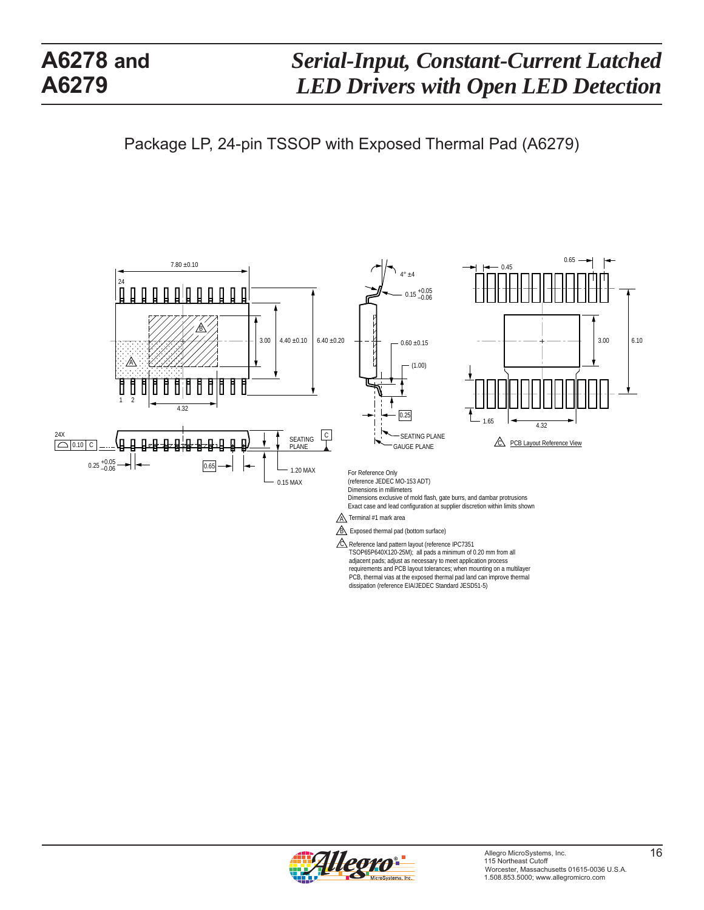Package LP, 24-pin TSSOP with Exposed Thermal Pad (A6279)



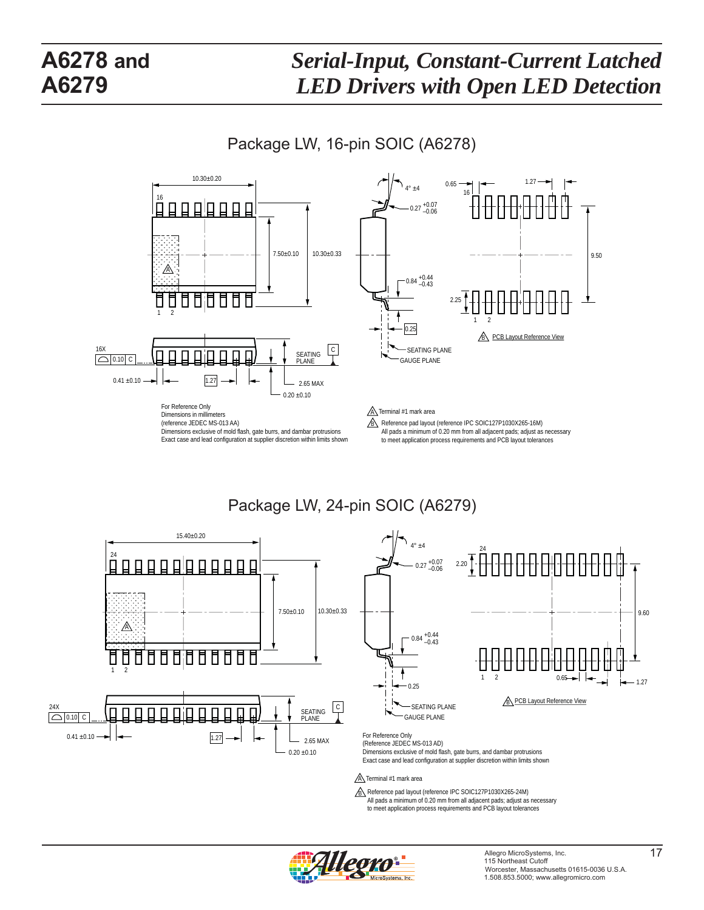Package LW, 16-pin SOIC (A6278)



Package LW, 24-pin SOIC (A6279)





Dimensions exclusive of mold flash, gate burrs, and dambar protrusions Exact case and lead configuration at supplier discretion within limits shown

#### $\underline{\mathbb{A}}$  Terminal #1 mark area

B Reference pad layout (reference IPC SOIC127P1030X265-24M) All pads a minimum of 0.20 mm from all adjacent pads; adjust as necessary to meet application process requirements and PCB layout tolerances